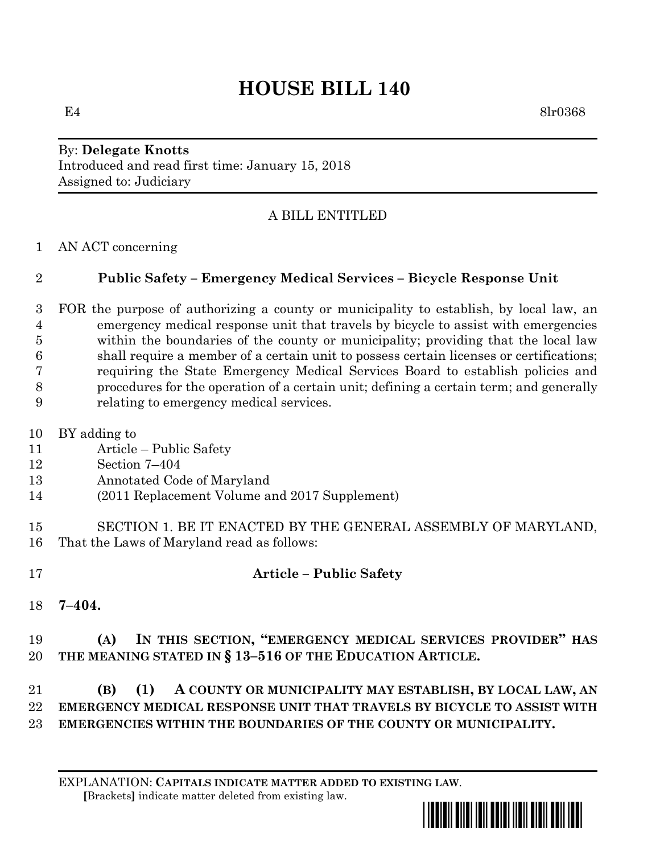# **HOUSE BILL 140**

E4 8lr0368

#### By: **Delegate Knotts** Introduced and read first time: January 15, 2018 Assigned to: Judiciary

## A BILL ENTITLED

AN ACT concerning

#### **Public Safety – Emergency Medical Services – Bicycle Response Unit**

 FOR the purpose of authorizing a county or municipality to establish, by local law, an emergency medical response unit that travels by bicycle to assist with emergencies within the boundaries of the county or municipality; providing that the local law shall require a member of a certain unit to possess certain licenses or certifications; requiring the State Emergency Medical Services Board to establish policies and procedures for the operation of a certain unit; defining a certain term; and generally relating to emergency medical services.

- BY adding to
- Article Public Safety
- Section 7–404
- Annotated Code of Maryland
- (2011 Replacement Volume and 2017 Supplement)
- SECTION 1. BE IT ENACTED BY THE GENERAL ASSEMBLY OF MARYLAND, That the Laws of Maryland read as follows:
- 

#### **Article – Public Safety**

**7–404.**

### **(A) IN THIS SECTION, "EMERGENCY MEDICAL SERVICES PROVIDER" HAS THE MEANING STATED IN § 13–516 OF THE EDUCATION ARTICLE.**

#### **(B) (1) A COUNTY OR MUNICIPALITY MAY ESTABLISH, BY LOCAL LAW, AN EMERGENCY MEDICAL RESPONSE UNIT THAT TRAVELS BY BICYCLE TO ASSIST WITH EMERGENCIES WITHIN THE BOUNDARIES OF THE COUNTY OR MUNICIPALITY.**